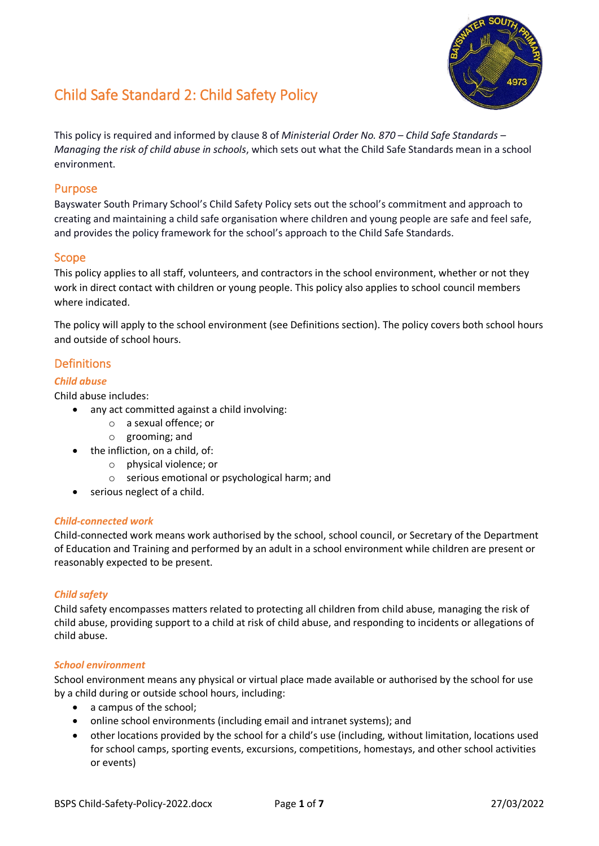

# Child Safe Standard 2: Child Safety Policy

This policy is required and informed by clause 8 of *Ministerial Order No. 870 – Child Safe Standards – Managing the risk of child abuse in schools*, which sets out what the Child Safe Standards mean in a school environment.

# Purpose

Bayswater South Primary School's Child Safety Policy sets out the school's commitment and approach to creating and maintaining a child safe organisation where children and young people are safe and feel safe, and provides the policy framework for the school's approach to the Child Safe Standards.

# Scope

This policy applies to all staff, volunteers, and contractors in the school environment, whether or not they work in direct contact with children or young people. This policy also applies to school council members where indicated.

The policy will apply to the school environment (see Definitions section). The policy covers both school hours and outside of school hours.

# Definitions

## *Child abuse*

Child abuse includes:

- any act committed against a child involving:
	- o a sexual offence; or
	- o grooming; and
- the infliction, on a child, of:
	- o physical violence; or
	- o serious emotional or psychological harm; and
- serious neglect of a child.

#### *Child-connected work*

Child-connected work means work authorised by the school, school council, or Secretary of the Department of Education and Training and performed by an adult in a school environment while children are present or reasonably expected to be present.

#### *Child safety*

Child safety encompasses matters related to protecting all children from child abuse, managing the risk of child abuse, providing support to a child at risk of child abuse, and responding to incidents or allegations of child abuse.

#### *School environment*

School environment means any physical or virtual place made available or authorised by the school for use by a child during or outside school hours, including:

- a campus of the school;
- online school environments (including email and intranet systems); and
- other locations provided by the school for a child's use (including, without limitation, locations used for school camps, sporting events, excursions, competitions, homestays, and other school activities or events)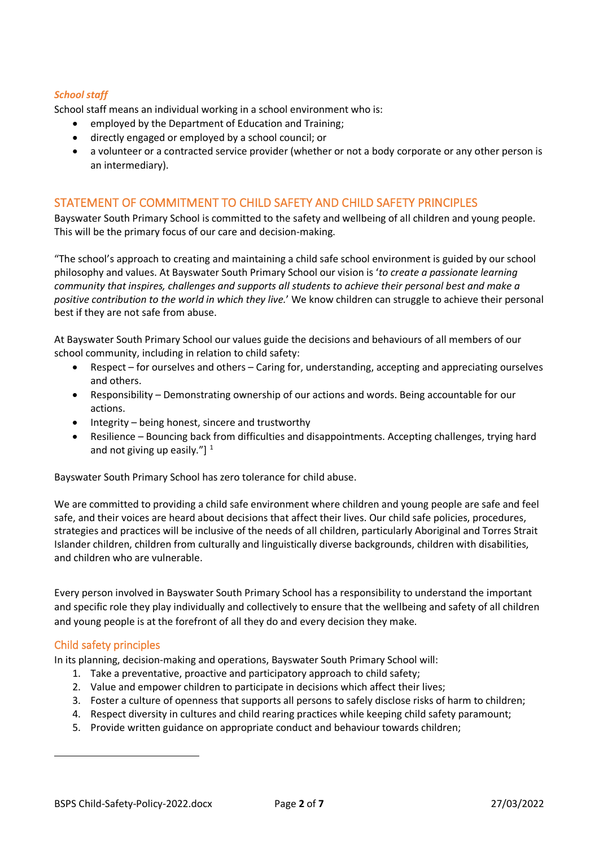#### *School staff*

School staff means an individual working in a school environment who is:

- employed by the Department of Education and Training;
- directly engaged or employed by a school council; or
- a volunteer or a contracted service provider (whether or not a body corporate or any other person is an intermediary).

# STATEMENT OF COMMITMENT TO CHILD SAFETY AND CHILD SAFETY PRINCIPLES

Bayswater South Primary School is committed to the safety and wellbeing of all children and young people. This will be the primary focus of our care and decision-making.

"The school's approach to creating and maintaining a child safe school environment is guided by our school philosophy and values. At Bayswater South Primary School our vision is '*to create a passionate learning community that inspires, challenges and supports all students to achieve their personal best and make a positive contribution to the world in which they live.*' We know children can struggle to achieve their personal best if they are not safe from abuse.

At Bayswater South Primary School our values guide the decisions and behaviours of all members of our school community, including in relation to child safety:

- Respect for ourselves and others Caring for, understanding, accepting and appreciating ourselves and others.
- Responsibility Demonstrating ownership of our actions and words. Being accountable for our actions.
- Integrity being honest, sincere and trustworthy
- Resilience Bouncing back from difficulties and disappointments. Accepting challenges, trying hard and not giving up easily." $]$ <sup>[1](#page-1-0)</sup>

Bayswater South Primary School has zero tolerance for child abuse.

We are committed to providing a child safe environment where children and young people are safe and feel safe, and their voices are heard about decisions that affect their lives. Our child safe policies, procedures, strategies and practices will be inclusive of the needs of all children, particularly Aboriginal and Torres Strait Islander children, children from culturally and linguistically diverse backgrounds, children with disabilities, and children who are vulnerable.

Every person involved in Bayswater South Primary School has a responsibility to understand the important and specific role they play individually and collectively to ensure that the wellbeing and safety of all children and young people is at the forefront of all they do and every decision they make.

## Child safety principles

In its planning, decision-making and operations, Bayswater South Primary School will:

- 1. Take a preventative, proactive and participatory approach to child safety;
- 2. Value and empower children to participate in decisions which affect their lives;
- 3. Foster a culture of openness that supports all persons to safely disclose risks of harm to children;
- 4. Respect diversity in cultures and child rearing practices while keeping child safety paramount;
- <span id="page-1-0"></span>5. Provide written guidance on appropriate conduct and behaviour towards children;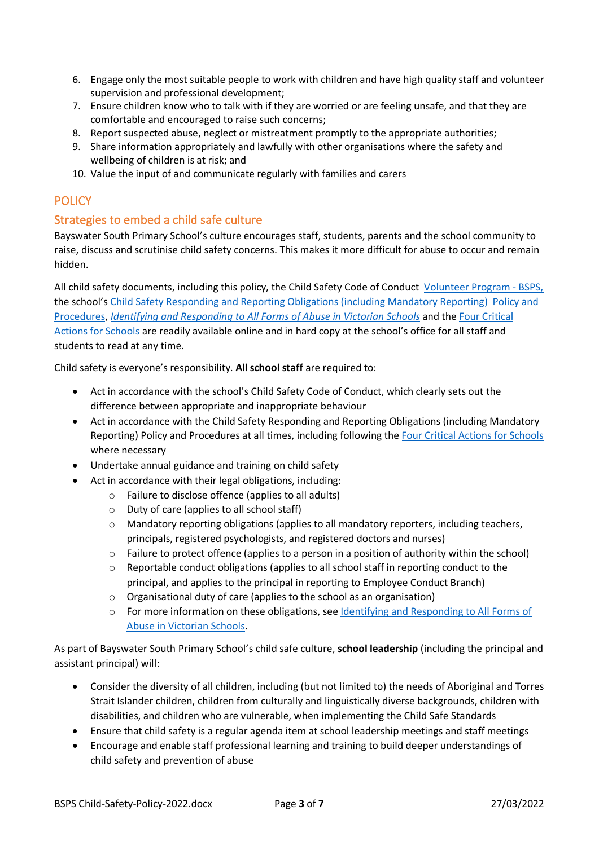- 6. Engage only the most suitable people to work with children and have high quality staff and volunteer supervision and professional development;
- 7. Ensure children know who to talk with if they are worried or are feeling unsafe, and that they are comfortable and encouraged to raise such concerns;
- 8. Report suspected abuse, neglect or mistreatment promptly to the appropriate authorities;
- 9. Share information appropriately and lawfully with other organisations where the safety and wellbeing of children is at risk; and
- 10. Value the input of and communicate regularly with families and carers

# **POLICY**

# Strategies to embed a child safe culture

Bayswater South Primary School's culture encourages staff, students, parents and the school community to raise, discuss and scrutinise child safety concerns. This makes it more difficult for abuse to occur and remain hidden.

All child safety documents, including this policy, the Child Safety Code of Conduct [Volunteer Program - BSPS,](https://bayswatersouthps-my.sharepoint.com/personal/administrator_baysouthps_vic_edu_au/_layouts/15/onedrive.aspx?id=%2Fpersonal%2Fadministrator%5Fbaysouthps%5Fvic%5Fedu%5Fau%2FDocuments%2FVolunteer%20Program%20%2D%20BSPS&ga=1) the school's Child Safety Responding and Reporting Obligations [\(including Mandatory Reporting\) Policy and](https://eduvic.sharepoint.com/:w:/r/sites/EDUVIC-BayswaterSouthPrimarySchool/Shared%20Documents/Bayswater%20South%20Primary%20School/Admin/Policies/Child%20Safe%20Policies/BSPS%20Child%20Safety%20Responding%20and%20Reporting%20Obligations%20Policy%20and%20Procedures%20.docx?d=w535f4df36ec149dc9ef70be420e1a2b1&csf=1&web=1&e=wtrP64)  [Procedures,](https://eduvic.sharepoint.com/:w:/r/sites/EDUVIC-BayswaterSouthPrimarySchool/Shared%20Documents/Bayswater%20South%20Primary%20School/Admin/Policies/Child%20Safe%20Policies/BSPS%20Child%20Safety%20Responding%20and%20Reporting%20Obligations%20Policy%20and%20Procedures%20.docx?d=w535f4df36ec149dc9ef70be420e1a2b1&csf=1&web=1&e=wtrP64) *[Identifying and Responding to All Forms of Abuse in Victorian Schools](https://www.education.vic.gov.au/Documents/about/programs/health/protect/ChildSafeStandard5_SchoolsGuide.pdf)* and th[e Four Critical](https://www.education.vic.gov.au/Documents/about/programs/health/protect/FourCriticalActions_ChildAbuse.pdf)  [Actions for Schools](https://www.education.vic.gov.au/Documents/about/programs/health/protect/FourCriticalActions_ChildAbuse.pdf) are readily available online and in hard copy at the school's office for all staff and students to read at any time.

Child safety is everyone's responsibility. **All school staff** are required to:

- Act in accordance with the school's Child Safety Code of Conduct, which clearly sets out the difference between appropriate and inappropriate behaviour
- Act in accordance with the Child Safety Responding and Reporting Obligations (including Mandatory Reporting) Policy and Procedures at all times, including following the [Four Critical Actions for Schools](https://www.education.vic.gov.au/Documents/about/programs/health/protect/FourCriticalActions_ChildAbuse.pdf) where necessary
- Undertake annual guidance and training on child safety
- Act in accordance with their legal obligations, including:
	- o Failure to disclose offence (applies to all adults)
	- o Duty of care (applies to all school staff)
	- $\circ$  Mandatory reporting obligations (applies to all mandatory reporters, including teachers, principals, registered psychologists, and registered doctors and nurses)
	- o Failure to protect offence (applies to a person in a position of authority within the school)
	- $\circ$  Reportable conduct obligations (applies to all school staff in reporting conduct to the principal, and applies to the principal in reporting to Employee Conduct Branch)
	- o Organisational duty of care (applies to the school as an organisation)
	- o For more information on these obligations, see [Identifying and Responding to All Forms of](https://www.education.vic.gov.au/Documents/about/programs/health/protect/ChildSafeStandard5_SchoolsGuide.pdf)  [Abuse in Victorian Schools.](https://www.education.vic.gov.au/Documents/about/programs/health/protect/ChildSafeStandard5_SchoolsGuide.pdf)

As part of Bayswater South Primary School's child safe culture, **school leadership** (including the principal and assistant principal) will:

- Consider the diversity of all children, including (but not limited to) the needs of Aboriginal and Torres Strait Islander children, children from culturally and linguistically diverse backgrounds, children with disabilities, and children who are vulnerable, when implementing the Child Safe Standards
- Ensure that child safety is a regular agenda item at school leadership meetings and staff meetings
- Encourage and enable staff professional learning and training to build deeper understandings of child safety and prevention of abuse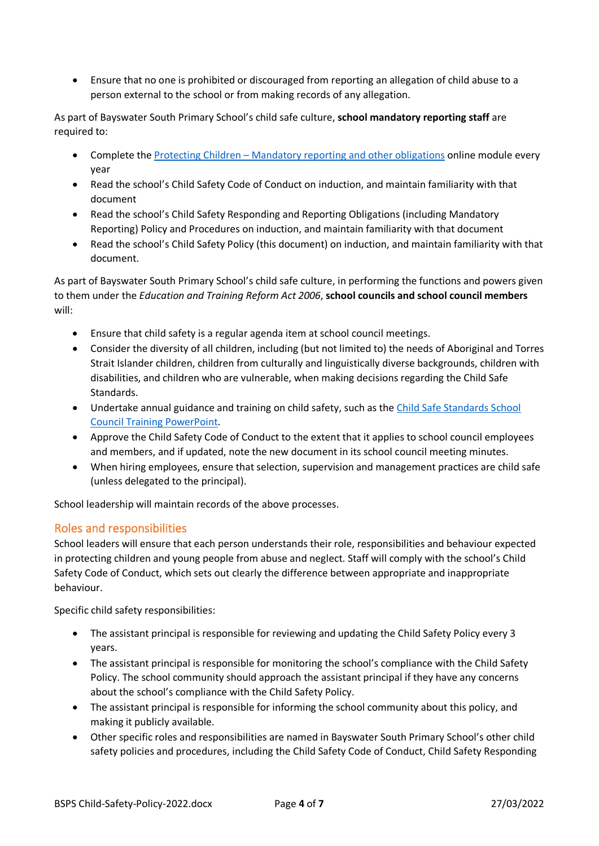• Ensure that no one is prohibited or discouraged from reporting an allegation of child abuse to a person external to the school or from making records of any allegation.

As part of Bayswater South Primary School's child safe culture, **school mandatory reporting staff** are required to:

- Complete the [Protecting Children Mandatory reporting and other obligations](http://elearn.com.au/det/protectingchildren/) online module every year
- Read the school's Child Safety Code of Conduct on induction, and maintain familiarity with that document
- Read the school's Child Safety Responding and Reporting Obligations (including Mandatory Reporting) Policy and Procedures on induction, and maintain familiarity with that document
- Read the school's Child Safety Policy (this document) on induction, and maintain familiarity with that document.

As part of Bayswater South Primary School's child safe culture, in performing the functions and powers given to them under the *Education and Training Reform Act 2006*, **school councils and school council members** will:

- Ensure that child safety is a regular agenda item at school council meetings.
- Consider the diversity of all children, including (but not limited to) the needs of Aboriginal and Torres Strait Islander children, children from culturally and linguistically diverse backgrounds, children with disabilities, and children who are vulnerable, when making decisions regarding the Child Safe Standards.
- Undertake annual guidance and training on child safety, such as the [Child Safe Standards School](https://www.education.vic.gov.au/Documents/about/programs/health/protect/school-council-training.pptx)  [Council Training](https://www.education.vic.gov.au/Documents/about/programs/health/protect/school-council-training.pptx) PowerPoint.
- Approve the Child Safety Code of Conduct to the extent that it applies to school council employees and members, and if updated, note the new document in its school council meeting minutes.
- When hiring employees, ensure that selection, supervision and management practices are child safe (unless delegated to the principal).

School leadership will maintain records of the above processes.

## Roles and responsibilities

School leaders will ensure that each person understands their role, responsibilities and behaviour expected in protecting children and young people from abuse and neglect. Staff will comply with the school's Child Safety Code of Conduct, which sets out clearly the difference between appropriate and inappropriate behaviour.

Specific child safety responsibilities:

- The assistant principal is responsible for reviewing and updating the Child Safety Policy every 3 years.
- The assistant principal is responsible for monitoring the school's compliance with the Child Safety Policy. The school community should approach the assistant principal if they have any concerns about the school's compliance with the Child Safety Policy.
- The assistant principal is responsible for informing the school community about this policy, and making it publicly available.
- Other specific roles and responsibilities are named in Bayswater South Primary School's other child safety policies and procedures, including the Child Safety Code of Conduct, Child Safety Responding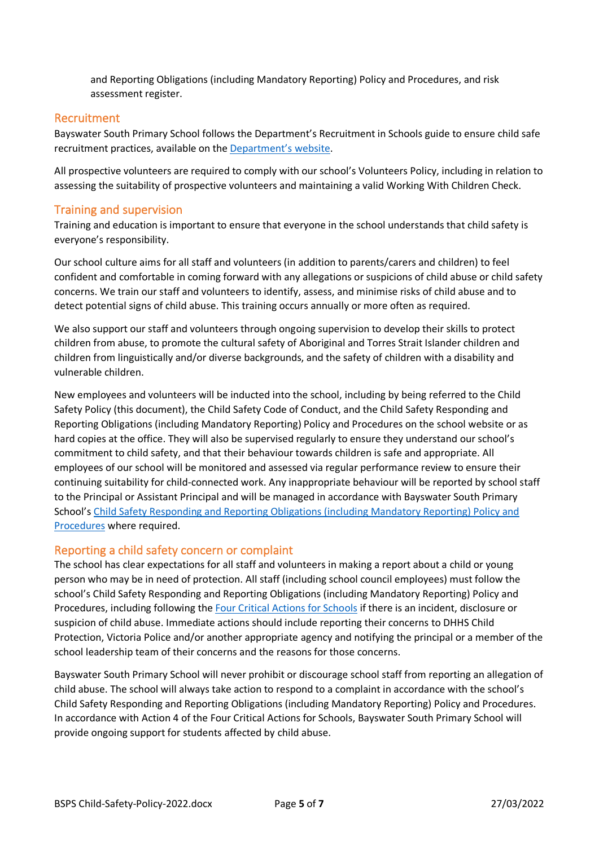and Reporting Obligations (including Mandatory Reporting) Policy and Procedures, and risk assessment register.

## Recruitment

Bayswater South Primary School follows the Department's Recruitment in Schools guide to ensure child safe recruitment practices, available on the [Department's website.](https://www.education.vic.gov.au/hrweb/careers/Pages/recruitinsch.aspx)

All prospective volunteers are required to comply with our school's Volunteers Policy, including in relation to assessing the suitability of prospective volunteers and maintaining a valid Working With Children Check.

## Training and supervision

Training and education is important to ensure that everyone in the school understands that child safety is everyone's responsibility.

Our school culture aims for all staff and volunteers (in addition to parents/carers and children) to feel confident and comfortable in coming forward with any allegations or suspicions of child abuse or child safety concerns. We train our staff and volunteers to identify, assess, and minimise risks of child abuse and to detect potential signs of child abuse. This training occurs annually or more often as required.

We also support our staff and volunteers through ongoing supervision to develop their skills to protect children from abuse, to promote the cultural safety of Aboriginal and Torres Strait Islander children and children from linguistically and/or diverse backgrounds, and the safety of children with a disability and vulnerable children.

New employees and volunteers will be inducted into the school, including by being referred to the Child Safety Policy (this document), the Child Safety Code of Conduct, and the Child Safety Responding and Reporting Obligations (including Mandatory Reporting) Policy and Procedures on the school website or as hard copies at the office. They will also be supervised regularly to ensure they understand our school's commitment to child safety, and that their behaviour towards children is safe and appropriate. All employees of our school will be monitored and assessed via regular performance review to ensure their continuing suitability for child-connected work. Any inappropriate behaviour will be reported by school staff to the Principal or Assistant Principal and will be managed in accordance with Bayswater South Primary School's Child Safety Responding and Reporting Obligations [\(including Mandatory Reporting\) Policy and](https://eduvic.sharepoint.com/:w:/r/sites/EDUVIC-BayswaterSouthPrimarySchool/Shared%20Documents/Bayswater%20South%20Primary%20School/Admin/Policies/Child%20Safe%20Policies/BSPS%20Child%20Safety%20Responding%20and%20Reporting%20Obligations%20Policy%20and%20Procedures%20.docx?d=w535f4df36ec149dc9ef70be420e1a2b1&csf=1&web=1&e=wtrP64)  [Procedures](https://eduvic.sharepoint.com/:w:/r/sites/EDUVIC-BayswaterSouthPrimarySchool/Shared%20Documents/Bayswater%20South%20Primary%20School/Admin/Policies/Child%20Safe%20Policies/BSPS%20Child%20Safety%20Responding%20and%20Reporting%20Obligations%20Policy%20and%20Procedures%20.docx?d=w535f4df36ec149dc9ef70be420e1a2b1&csf=1&web=1&e=wtrP64) where required.

#### Reporting a child safety concern or complaint

The school has clear expectations for all staff and volunteers in making a report about a child or young person who may be in need of protection. All staff (including school council employees) must follow the school's Child Safety Responding and Reporting Obligations (including Mandatory Reporting) Policy and Procedures, including following the [Four Critical Actions for Schools](https://www.education.vic.gov.au/Documents/about/programs/health/protect/FourCriticalActions_ChildAbuse.pdf) if there is an incident, disclosure or suspicion of child abuse. Immediate actions should include reporting their concerns to DHHS Child Protection, Victoria Police and/or another appropriate agency and notifying the principal or a member of the school leadership team of their concerns and the reasons for those concerns.

Bayswater South Primary School will never prohibit or discourage school staff from reporting an allegation of child abuse. The school will always take action to respond to a complaint in accordance with the school's Child Safety Responding and Reporting Obligations (including Mandatory Reporting) Policy and Procedures. In accordance with Action 4 of the Four Critical Actions for Schools, Bayswater South Primary School will provide ongoing support for students affected by child abuse.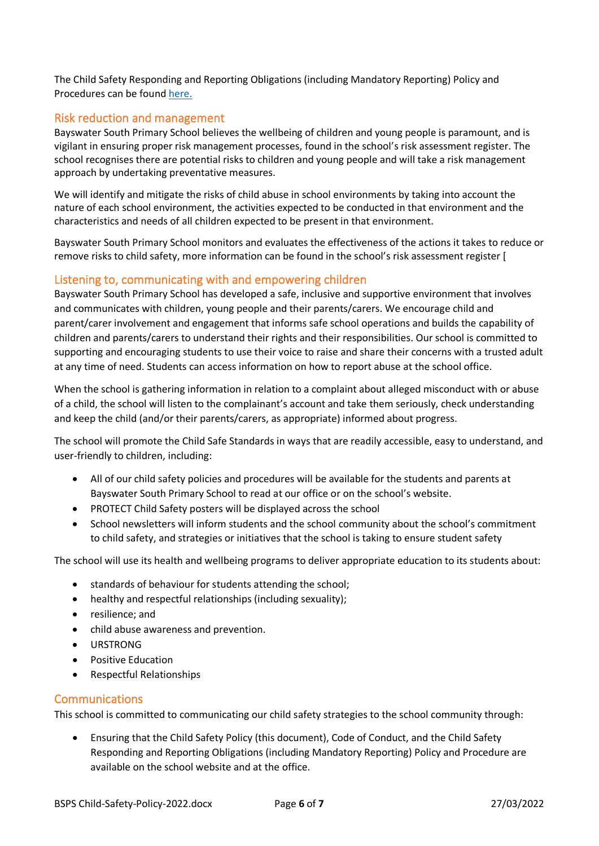The Child Safety Responding and Reporting Obligations (including Mandatory Reporting) Policy and Procedures can be found [here.](https://eduvic.sharepoint.com/:w:/r/sites/EDUVIC-BayswaterSouthPrimarySchool/Shared%20Documents/Bayswater%20South%20Primary%20School/Admin/Policies/Child%20Safe%20Policies/BSPS%20Child%20Safety%20Responding%20and%20Reporting%20Obligations%20Policy%20and%20Procedures%20.docx?d=w535f4df36ec149dc9ef70be420e1a2b1&csf=1&web=1&e=wtrP64)

# Risk reduction and management

Bayswater South Primary School believes the wellbeing of children and young people is paramount, and is vigilant in ensuring proper risk management processes, found in the school's risk assessment register. The school recognises there are potential risks to children and young people and will take a risk management approach by undertaking preventative measures.

We will identify and mitigate the risks of child abuse in school environments by taking into account the nature of each school environment, the activities expected to be conducted in that environment and the characteristics and needs of all children expected to be present in that environment.

Bayswater South Primary School monitors and evaluates the effectiveness of the actions it takes to reduce or remove risks to child safety, more information can be found in the school's risk assessment register [

#### Listening to, communicating with and empowering children

Bayswater South Primary School has developed a safe, inclusive and supportive environment that involves and communicates with children, young people and their parents/carers. We encourage child and parent/carer involvement and engagement that informs safe school operations and builds the capability of children and parents/carers to understand their rights and their responsibilities. Our school is committed to supporting and encouraging students to use their voice to raise and share their concerns with a trusted adult at any time of need. Students can access information on how to report abuse at the school office.

When the school is gathering information in relation to a complaint about alleged misconduct with or abuse of a child, the school will listen to the complainant's account and take them seriously, check understanding and keep the child (and/or their parents/carers, as appropriate) informed about progress.

The school will promote the Child Safe Standards in ways that are readily accessible, easy to understand, and user-friendly to children, including:

- All of our child safety policies and procedures will be available for the students and parents at Bayswater South Primary School to read at our office or on the school's website.
- PROTECT Child Safety posters will be displayed across the school
- School newsletters will inform students and the school community about the school's commitment to child safety, and strategies or initiatives that the school is taking to ensure student safety

The school will use its health and wellbeing programs to deliver appropriate education to its students about:

- standards of behaviour for students attending the school;
- healthy and respectful relationships (including sexuality);
- resilience; and
- child abuse awareness and prevention.
- URSTRONG
- Positive Education
- Respectful Relationships

## Communications

This school is committed to communicating our child safety strategies to the school community through:

• Ensuring that the Child Safety Policy (this document), Code of Conduct, and the Child Safety Responding and Reporting Obligations (including Mandatory Reporting) Policy and Procedure are available on the school website and at the office.